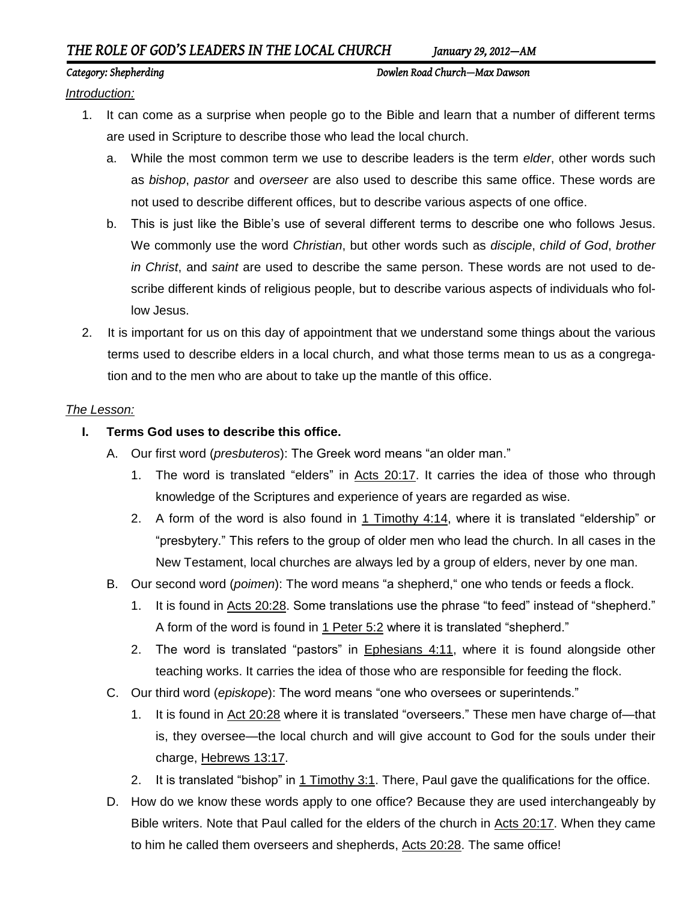# *THE ROLE OF GOD'S LEADERS IN THE LOCAL CHURCH January 29, 2012—AM*

### *Category: Shepherding Dowlen Road Church—Max Dawson*

*Introduction:*

- 1. It can come as a surprise when people go to the Bible and learn that a number of different terms are used in Scripture to describe those who lead the local church.
	- a. While the most common term we use to describe leaders is the term *elder*, other words such as *bishop*, *pastor* and *overseer* are also used to describe this same office. These words are not used to describe different offices, but to describe various aspects of one office.
	- b. This is just like the Bible's use of several different terms to describe one who follows Jesus. We commonly use the word *Christian*, but other words such as *disciple*, *child of God*, *brother in Christ*, and *saint* are used to describe the same person. These words are not used to describe different kinds of religious people, but to describe various aspects of individuals who follow Jesus.
- 2. It is important for us on this day of appointment that we understand some things about the various terms used to describe elders in a local church, and what those terms mean to us as a congregation and to the men who are about to take up the mantle of this office.

## *The Lesson:*

- **I. Terms God uses to describe this office.**
	- A. Our first word (*presbuteros*): The Greek word means "an older man."
		- 1. The word is translated "elders" in Acts 20:17. It carries the idea of those who through knowledge of the Scriptures and experience of years are regarded as wise.
		- 2. A form of the word is also found in 1 Timothy 4:14, where it is translated "eldership" or "presbytery." This refers to the group of older men who lead the church. In all cases in the New Testament, local churches are always led by a group of elders, never by one man.
	- B. Our second word (*poimen*): The word means "a shepherd," one who tends or feeds a flock.
		- 1. It is found in Acts 20:28. Some translations use the phrase "to feed" instead of "shepherd." A form of the word is found in 1 Peter 5:2 where it is translated "shepherd."
		- 2. The word is translated "pastors" in Ephesians 4:11, where it is found alongside other teaching works. It carries the idea of those who are responsible for feeding the flock.
	- C. Our third word (*episkope*): The word means "one who oversees or superintends."
		- 1. It is found in Act 20:28 where it is translated "overseers." These men have charge of—that is, they oversee—the local church and will give account to God for the souls under their charge, Hebrews 13:17.
		- 2. It is translated "bishop" in 1 Timothy 3:1. There, Paul gave the qualifications for the office.
	- D. How do we know these words apply to one office? Because they are used interchangeably by Bible writers. Note that Paul called for the elders of the church in Acts 20:17. When they came to him he called them overseers and shepherds, Acts 20:28. The same office!